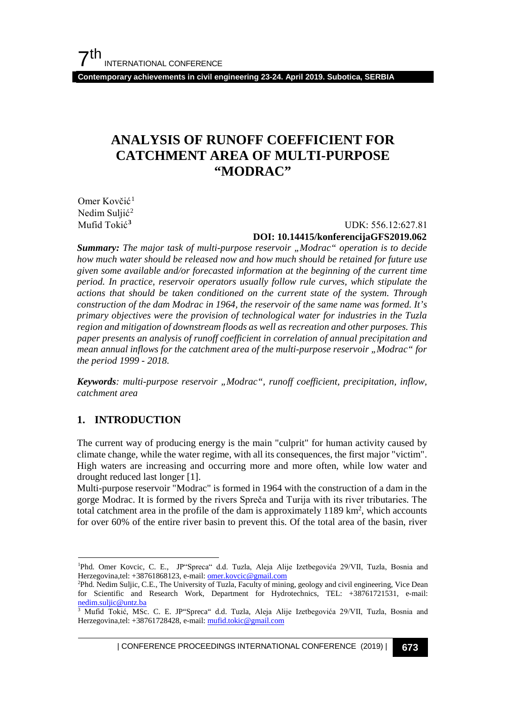**Contemporary achievements in civil engineering 23-24. April 2019. Subotica, SERBIA**

# **ANALYSIS OF RUNOFF COEFFICIENT FOR CATCHMENT AREA OF MULTI-PURPOSE "MODRAC"**

Omer Kovčić<sup>[1](#page-0-0)</sup> Nedim Suljić<sup>[2](#page-0-1)</sup>

Mufid Tokić**[3](#page-0-2)** UDK: 556.12:627.81

#### **DOI: 10.14415/konferencijaGFS2019.062**

*Summary: The major task of multi-purpose reservoir "Modrac" operation is to decide how much water should be released now and how much should be retained for future use given some available and/or forecasted information at the beginning of the current time period. In practice, reservoir operators usually follow rule curves, which stipulate the actions that should be taken conditioned on the current state of the system. Through construction of the dam Modrac in 1964, the reservoir of the same name was formed. It's primary objectives were the provision of technological water for industries in the Tuzla region and mitigation of downstream floods as well as recreation and other purposes. This paper presents an analysis of runoff coefficient in correlation of annual precipitation and mean annual inflows for the catchment area of the multi-purpose reservoir "Modrac" for the period 1999 - 2018.*

*Keywords: multi-purpose reservoir "Modrac", runoff coefficient, precipitation, inflow, catchment area*

#### **1. INTRODUCTION**

The current way of producing energy is the main "culprit" for human activity caused by climate change, while the water regime, with all its consequences, the first major "victim". High waters are increasing and occurring more and more often, while low water and drought reduced last longer [1].

Multi-purpose reservoir "Modrac" is formed in 1964 with the construction of a dam in the gorge Modrac. It is formed by the rivers Spreča and Turija with its river tributaries. The total catchment area in the profile of the dam is approximately  $1189 \text{ km}^2$ , which accounts for over 60% of the entire river basin to prevent this. Of the total area of the basin, river

<span id="page-0-0"></span><sup>1</sup> Phd. Omer Kovcic, C. E., JP"Spreca" d.d. Tuzla, Aleja Alije Izetbegovića 29/VII, Tuzla, Bosnia and Herzegovina,tel: +38761868123, e-mail[: omer.kovcic@gmail.com](mailto:omer.kovcic@gmail.com)

<span id="page-0-1"></span><sup>2</sup> Phd. Nedim Suljic, C.E., The University of Tuzla, Faculty of mining, geology and civil engineering, Vice Dean for Scientific and Research Work, Department for Hydrotechnics, TEL: +38761721531, e-mail: nedim.suljic@untz.ba

<span id="page-0-2"></span><sup>&</sup>lt;sup>3</sup> Mufid Tokić, MSc. C. E. JP"Spreca" d.d. Tuzla, Aleja Alije Izetbegovića 29/VII, Tuzla, Bosnia and Herzegovina,tel: +38761728428, e-mail[: mufid.tokic@gmail.com](mailto:mufid.tokic@gmail.com)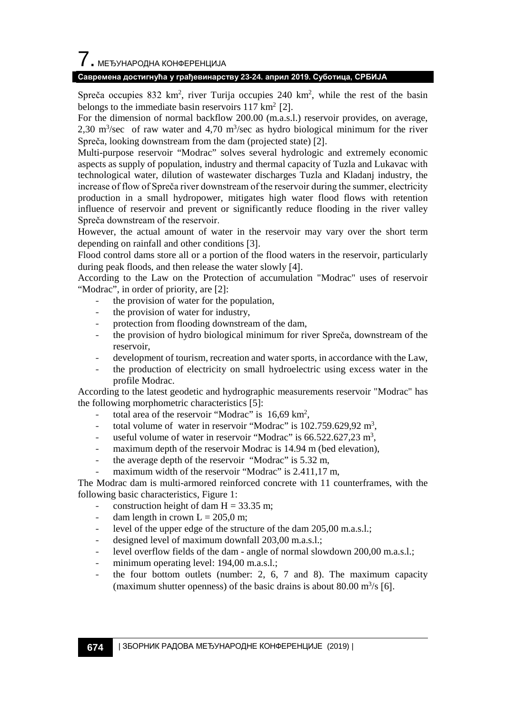# $\overline{\phantom{a}}$ . МЕЂУНАРОДНА КОНФЕРЕНЦИЈА

#### **Савремена достигнућа у грађевинарству 23-24. април 2019. Суботица, СРБИЈА**

Spreča occupies 832 km<sup>2</sup>, river Turija occupies 240 km<sup>2</sup>, while the rest of the basin belongs to the immediate basin reservoirs  $117 \text{ km}^2$  [2].

For the dimension of normal backflow 200.00 (m.a.s.l.) reservoir provides, on average, 2,30 m<sup>3</sup>/sec of raw water and 4,70 m<sup>3</sup>/sec as hydro biological minimum for the river Spreča, looking downstream from the dam (projected state) [2].

Multi-purpose reservoir "Modrac" solves several hydrologic and extremely economic aspects as supply of population, industry and thermal capacity of Tuzla and Lukavac with technological water, dilution of wastewater discharges Tuzla and Kladanj industry, the increase of flow of Spreča river downstream of the reservoir during the summer, electricity production in a small hydropower, mitigates high water flood flows with retention influence of reservoir and prevent or significantly reduce flooding in the river valley Spreča downstream of the reservoir.

However, the actual amount of water in the reservoir may vary over the short term depending on rainfall and other conditions [3].

Flood control dams store all or a portion of the flood waters in the reservoir, particularly during peak floods, and then release the water slowly [4].

According to the Law on the Protection of accumulation "Modrac" uses of reservoir "Modrac", in order of priority, are [2]:

- the provision of water for the population,
- the provision of water for industry,
- protection from flooding downstream of the dam,
- the provision of hydro biological minimum for river Spreča, downstream of the reservoir,
- development of tourism, recreation and water sports, in accordance with the Law,
- the production of electricity on small hydroelectric using excess water in the profile Modrac.

According to the latest geodetic and hydrographic measurements reservoir "Modrac" has the following morphometric characteristics [5]:

- total area of the reservoir "Modrac" is 16,69 km<sup>2</sup>,
- total volume of water in reservoir "Modrac" is  $102.759.629.92 \text{ m}^3$ ,
- useful volume of water in reservoir "Modrac" is  $66.522.627.23 \text{ m}^3$ ,
- maximum depth of the reservoir Modrac is 14.94 m (bed elevation),
- the average depth of the reservoir "Modrac" is 5.32 m,
- maximum width of the reservoir "Modrac" is 2.411,17 m,

The Modrac dam is multi-armored reinforced concrete with 11 counterframes, with the following basic characteristics, Figure 1:

- construction height of dam  $H = 33.35$  m;
- dam length in crown  $L = 205,0$  m;
- level of the upper edge of the structure of the dam 205,00 m.a.s.l.;
- designed level of maximum downfall 203,00 m.a.s.l.;
- level overflow fields of the dam angle of normal slowdown 200,00 m.a.s.l.;
- minimum operating level: 194,00 m.a.s.l.;
- the four bottom outlets (number: 2, 6, 7 and 8). The maximum capacity (maximum shutter openness) of the basic drains is about 80.00  $\mathrm{m}^3/\mathrm{s}$  [6].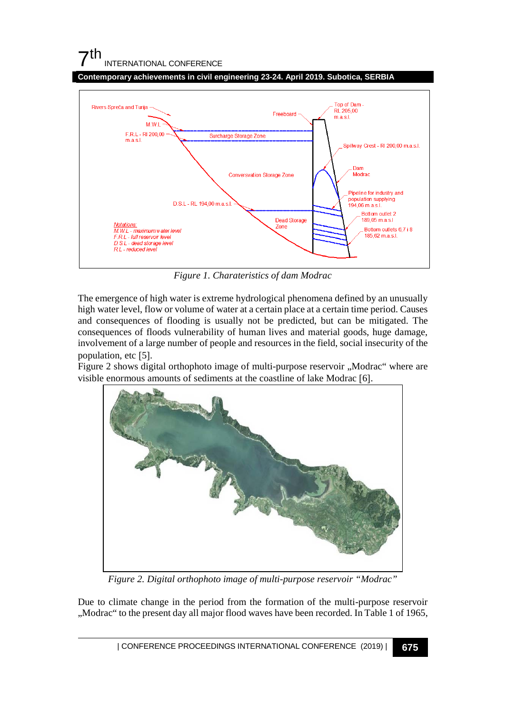## $7<sup>th</sup>$ INTERNATIONAL CONFERENCE

**Contemporary achievements in civil engineering 23-24. April 2019. Subotica, SERBIA**



*Figure 1. Charateristics of dam Modrac*

The emergence of high water is extreme hydrological phenomena defined by an unusually high water level, flow or volume of water at a certain place at a certain time period. Causes and consequences of flooding is usually not be predicted, but can be mitigated. The consequences of floods vulnerability of human lives and material goods, huge damage, involvement of a large number of people and resources in the field, social insecurity of the population, etc [5].

Figure 2 shows digital orthophoto image of multi-purpose reservoir ,,Modrac" where are visible enormous amounts of sediments at the coastline of lake Modrac [6].



*Figure 2. Digital orthophoto image of multi-purpose reservoir "Modrac"*

Due to climate change in the period from the formation of the multi-purpose reservoir "Modrac" to the present day all major flood waves have been recorded. In Table 1 of 1965,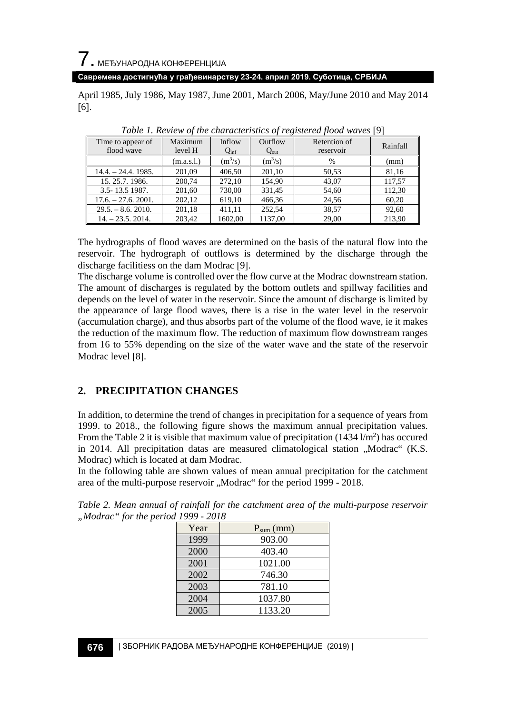7. МЕЂУНАРОДНА КОНФЕРЕНЦИЈА

**Савремена достигнућа у грађевинарству 23-24. април 2019. Суботица, СРБИЈА**

April 1985, July 1986, May 1987, June 2001, March 2006, May/June 2010 and May 2014 [6].

| Time to appear of<br>flood wave | Maximum<br>level H | Inflow<br>$Q_{\rm inf}$ | Outflow<br>$Q_{\rm out}$ | Retention of<br>reservoir | Rainfall |
|---------------------------------|--------------------|-------------------------|--------------------------|---------------------------|----------|
|                                 | (m.a.s.l.)         | $(m^3/s)$               | $(m^3/s)$                | $\%$                      | (mm)     |
| $14.4. - 24.4.1985.$            | 201.09             | 406.50                  | 201,10                   | 50.53                     | 81,16    |
| 15, 25.7, 1986.                 | 200.74             | 272.10                  | 154.90                   | 43.07                     | 117,57   |
| 3.5-13.5 1987.                  | 201,60             | 730,00                  | 331.45                   | 54,60                     | 112,30   |
| $17.6 - 27.6$ , 2001.           | 202.12             | 619.10                  | 466,36                   | 24.56                     | 60,20    |
| $29.5 - 8.6$ , 2010.            | 201,18             | 411,11                  | 252.54                   | 38,57                     | 92,60    |
| $14. - 23.5.2014.$              | 203,42             | 1602.00                 | 1137.00                  | 29.00                     | 213,90   |

*Table 1. Review of the characteristics of registered flood waves* [9]

The hydrographs of flood waves are determined on the basis of the natural flow into the reservoir. The hydrograph of outflows is determined by the discharge through the discharge facilitiess on the dam Modrac [9].

The discharge volume is controlled over the flow curve at the Modrac downstream station. The amount of discharges is regulated by the bottom outlets and spillway facilities and depends on the level of water in the reservoir. Since the amount of discharge is limited by the appearance of large flood waves, there is a rise in the water level in the reservoir (accumulation charge), and thus absorbs part of the volume of the flood wave, ie it makes the reduction of the maximum flow. The reduction of maximum flow downstream ranges from 16 to 55% depending on the size of the water wave and the state of the reservoir Modrac level [8].

#### **2. PRECIPITATION CHANGES**

In addition, to determine the trend of changes in precipitation for a sequence of years from 1999. to 2018., the following figure shows the maximum annual precipitation values. From the Table 2 it is visible that maximum value of precipitation  $(1434 \, \text{lm}^2)$  has occured in 2014. All precipitation datas are measured climatological station "Modrac" (K.S. Modrac) which is located at dam Modrac.

In the following table are shown values of mean annual precipitation for the catchment area of the multi-purpose reservoir "Modrac" for the period 1999 - 2018.

| c" for the period 1999 - 2018 |      |                |  |  |  |  |
|-------------------------------|------|----------------|--|--|--|--|
|                               | Year | $P_{sum}$ (mm) |  |  |  |  |
|                               | 1999 | 903.00         |  |  |  |  |
|                               | 2000 | 403.40         |  |  |  |  |
|                               |      |                |  |  |  |  |

2001 1021.00 2002 746.30 2003 781.10 2004 1037.80 2005 1133.20

*Table 2. Mean annual of rainfall for the catchment area of the multi-purpose reservoir "Modrac" for the period 1999 - 2018*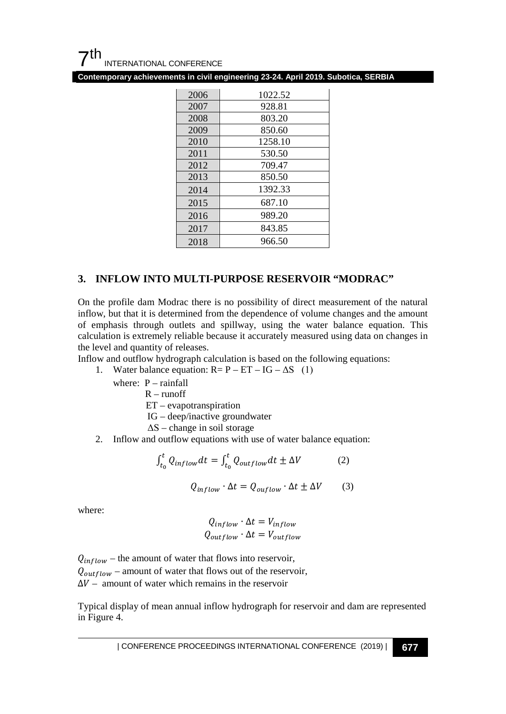**Contemporary achievements in civil engineering 23-24. April 2019. Subotica, SERBIA**

| 2006 | 1022.52 |
|------|---------|
| 2007 | 928.81  |
| 2008 | 803.20  |
| 2009 | 850.60  |
| 2010 | 1258.10 |
| 2011 | 530.50  |
| 2012 | 709.47  |
| 2013 | 850.50  |
| 2014 | 1392.33 |
| 2015 | 687.10  |
| 2016 | 989.20  |
| 2017 | 843.85  |
| 2018 | 966.50  |

#### **3. INFLOW INTO MULTI-PURPOSE RESERVOIR "MODRAC"**

On the profile dam Modrac there is no possibility of direct measurement of the natural inflow, but that it is determined from the dependence of volume changes and the amount of emphasis through outlets and spillway, using the water balance equation. This calculation is extremely reliable because it accurately measured using data on changes in the level and quantity of releases.

Inflow and outflow hydrograph calculation is based on the following equations:

1. Water balance equation:  $R = P - ET - IG - \Delta S$  (1)

where: P – rainfall

 $R$  – runoff

ET – evapotranspiration

IG – deep/inactive groundwater

 $\Delta S$  – change in soil storage

2. Inflow and outflow equations with use of water balance equation:

$$
\int_{t_0}^t Q_{inflow} dt = \int_{t_0}^t Q_{outflow} dt \pm \Delta V \tag{2}
$$

$$
Q_{inflow} \cdot \Delta t = Q_{outflow} \cdot \Delta t \pm \Delta V \tag{3}
$$

where:

$$
Q_{inflow} \cdot \Delta t = V_{inflow}
$$
  

$$
Q_{outflow} \cdot \Delta t = V_{outflow}
$$

 $Q_{inflow}$  – the amount of water that flows into reservoir,  $Q_{outflow}$  – amount of water that flows out of the reservoir,  $\Delta V$  – amount of water which remains in the reservoir

Typical display of mean annual inflow hydrograph for reservoir and dam are represented in Figure 4.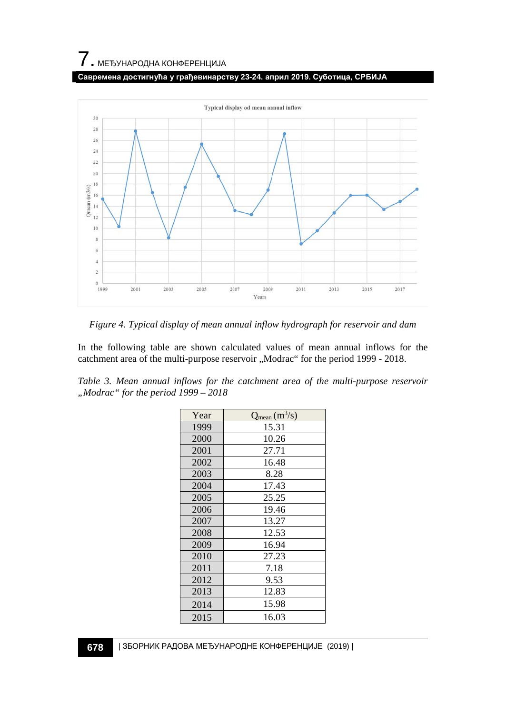#### **Савремена достигнућа у грађевинарству 23-24. април 2019. Суботица, СРБИЈА**



*Figure 4. Typical display of mean annual inflow hydrograph for reservoir and dam*

In the following table are shown calculated values of mean annual inflows for the catchment area of the multi-purpose reservoir "Modrac" for the period 1999 - 2018.

|                                       |  |  |  | Table 3. Mean annual inflows for the catchment area of the multi-purpose reservoir |  |
|---------------------------------------|--|--|--|------------------------------------------------------------------------------------|--|
| "Modrac" for the period $1999 - 2018$ |  |  |  |                                                                                    |  |

| Year | $Q_{mean}(m^3/s)$ |
|------|-------------------|
| 1999 | 15.31             |
| 2000 | 10.26             |
| 2001 | 27.71             |
| 2002 | 16.48             |
| 2003 | 8.28              |
| 2004 | 17.43             |
| 2005 | 25.25             |
| 2006 | 19.46             |
| 2007 | 13.27             |
| 2008 | 12.53             |
| 2009 | 16.94             |
| 2010 | 27.23             |
| 2011 | 7.18              |
| 2012 | 9.53              |
| 2013 | 12.83             |
| 2014 | 15.98             |
| 2015 | 16.03             |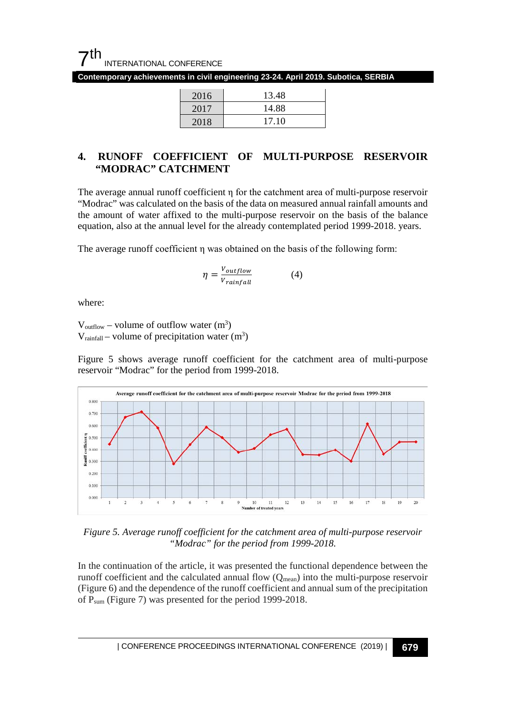

**Contemporary achievements in civil engineering 23-24. April 2019. Subotica, SERBIA**

| 2016 | 13.48 |
|------|-------|
| 2017 | 14.88 |
| 2018 | 17.10 |

### **4. RUNOFF COEFFICIENT OF MULTI-PURPOSE RESERVOIR "MODRAC" CATCHMENT**

The average annual runoff coefficient η for the catchment area of multi-purpose reservoir "Modrac" was calculated on the basis of the data on measured annual rainfall amounts and the amount of water affixed to the multi-purpose reservoir on the basis of the balance equation, also at the annual level for the already contemplated period 1999-2018. years.

The average runoff coefficient η was obtained on the basis of the following form:

$$
\eta = \frac{V_{outflow}}{V_{rainfall}}\tag{4}
$$

where:

 $V_{\text{outflow}}$  – volume of outflow water  $(m^3)$  $V_{\text{rainfall}} - \text{volume of precipitation water (m}^3)$ 

Figure 5 shows average runoff coefficient for the catchment area of multi-purpose reservoir "Modrac" for the period from 1999-2018.



*Figure 5. Average runoff coefficient for the catchment area of multi-purpose reservoir "Modrac" for the period from 1999-2018.*

In the continuation of the article, it was presented the functional dependence between the runoff coefficient and the calculated annual flow  $(Q_{mean})$  into the multi-purpose reservoir (Figure 6) and the dependence of the runoff coefficient and annual sum of the precipitation of Psum (Figure 7) was presented for the period 1999-2018.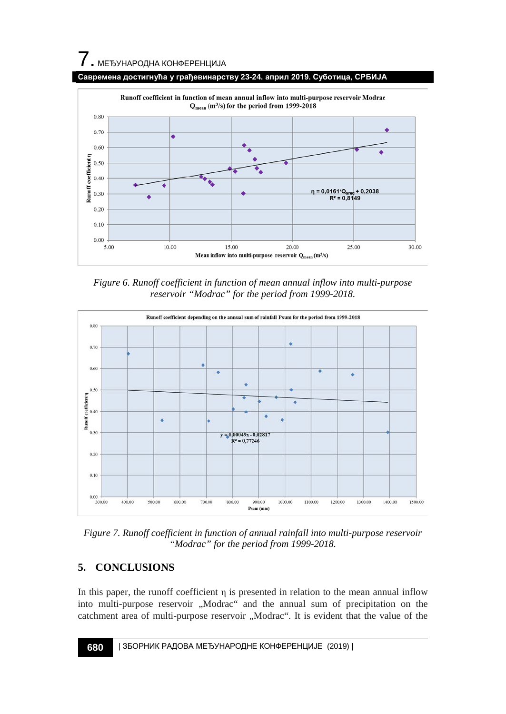# $\overline{\phantom{a}}$ . МЕЂУНАРОДНА КОНФЕРЕНЦИЈА



*Figure 6. Runoff coefficient in function of mean annual inflow into multi-purpose reservoir "Modrac" for the period from 1999-2018.*



*Figure 7. Runoff coefficient in function of annual rainfall into multi-purpose reservoir "Modrac" for the period from 1999-2018.*

## **5. CONCLUSIONS**

In this paper, the runoff coefficient  $\eta$  is presented in relation to the mean annual inflow into multi-purpose reservoir "Modrac" and the annual sum of precipitation on the catchment area of multi-purpose reservoir "Modrac". It is evident that the value of the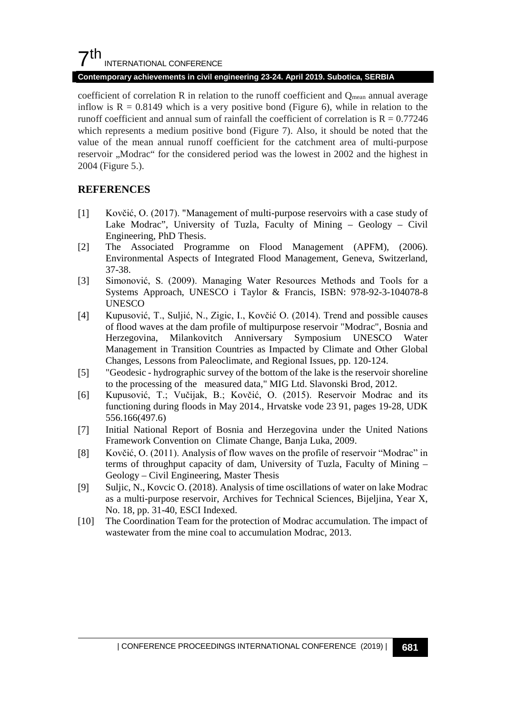### $7th$ INTERNATIONAL CONFERENCE

#### **Contemporary achievements in civil engineering 23-24. April 2019. Subotica, SERBIA**

coefficient of correlation R in relation to the runoff coefficient and Q<sub>mean</sub> annual average inflow is  $R = 0.8149$  which is a very positive bond (Figure 6), while in relation to the runoff coefficient and annual sum of rainfall the coefficient of correlation is  $R = 0.77246$ which represents a medium positive bond (Figure 7). Also, it should be noted that the value of the mean annual runoff coefficient for the catchment area of multi-purpose reservoir "Modrac" for the considered period was the lowest in 2002 and the highest in 2004 (Figure 5.).

#### **REFERENCES**

- [1] Kovčić, O. (2017). "Management of multi-purpose reservoirs with a case study of Lake Modrac", University of Tuzla, Faculty of Mining – Geology – Civil Engineering, PhD Thesis.
- [2] The Associated Programme on Flood Management (APFM), (2006). Environmental Aspects of Integrated Flood Management, Geneva, Switzerland, 37-38.
- [3] Simonović, S. (2009). Managing Water Resources Methods and Tools for a Systems Approach, UNESCO i Taylor & Francis, ISBN: 978-92-3-104078-8 UNESCO
- [4] Kupusović, T., Suljić, N., Zigic, I., Kovčić O. (2014). Trend and possible causes of flood waves at the dam profile of multipurpose reservoir "Modrac", Bosnia and Herzegovina, Milankovitch Anniversary Symposium UNESCO Water Management in Transition Countries as Impacted by Climate and Other Global Changes, Lessons from Paleoclimate, and Regional Issues, pp. 120-124.
- [5] "Geodesic hydrographic survey of the bottom of the lake is the reservoir shoreline to the processing of the measured data," MIG Ltd. Slavonski Brod, 2012.
- [6] Kupusović, T.; Vučijak, B.; Kovčić, O. (2015). Reservoir Modrac and its functioning during floods in May 2014., Hrvatske vode 23 91, pages 19-28, UDK 556.166(497.6)
- [7] Initial National Report of Bosnia and Herzegovina under the United Nations Framework Convention on Climate Change, Banja Luka, 2009.
- [8] Kovčić, O. (2011). Analysis of flow waves on the profile of reservoir "Modrac" in terms of throughput capacity of dam, University of Tuzla, Faculty of Mining – Geology – Civil Engineering, Master Thesis
- [9] Suljic, N., Kovcic O. (2018). Analysis of time oscillations of water on lake Modrac as a multi-purpose reservoir, Archives for Technical Sciences, Bijeljina, Year X, No. 18, pp. 31-40, ESCI Indexed.
- [10] The Coordination Team for the protection of Modrac accumulation. The impact of wastewater from the mine coal to accumulation Modrac, 2013.